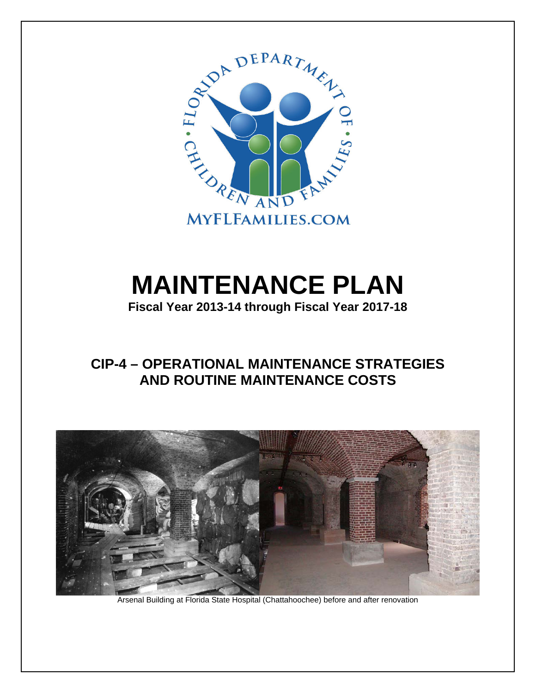

# **MAINTENANCE PLAN**

**Fiscal Year 2013-14 through Fiscal Year 2017-18** 

# **CIP-4 – OPERATIONAL MAINTENANCE STRATEGIES AND ROUTINE MAINTENANCE COSTS**



Arsenal Building at Florida State Hospital (Chattahoochee) before and after renovation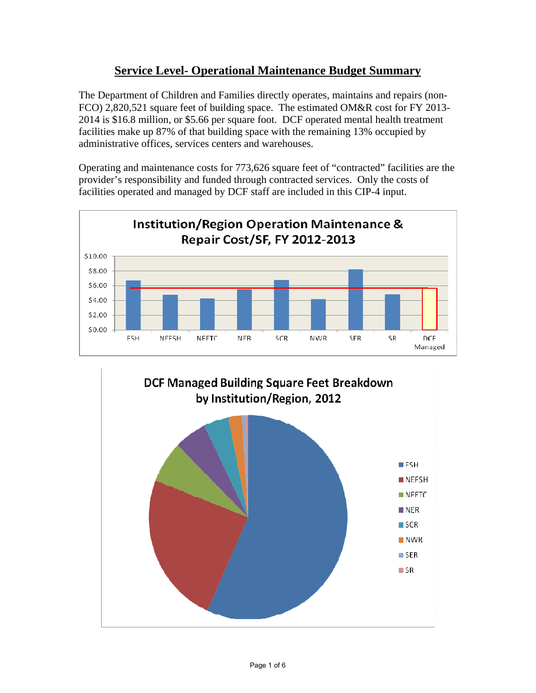#### **Service Level- Operational Maintenance Budget Summary**

The Department of Children and Families directly operates, maintains and repairs (non-FCO) 2,820,521 square feet of building space. The estimated OM&R cost for FY 2013- 2014 is \$16.8 million, or \$5.66 per square foot. DCF operated mental health treatment facilities make up 87% of that building space with the remaining 13% occupied by administrative offices, services centers and warehouses.

Operating and maintenance costs for 773,626 square feet of "contracted" facilities are the provider's responsibility and funded through contracted services. Only the costs of facilities operated and managed by DCF staff are included in this CIP-4 input.



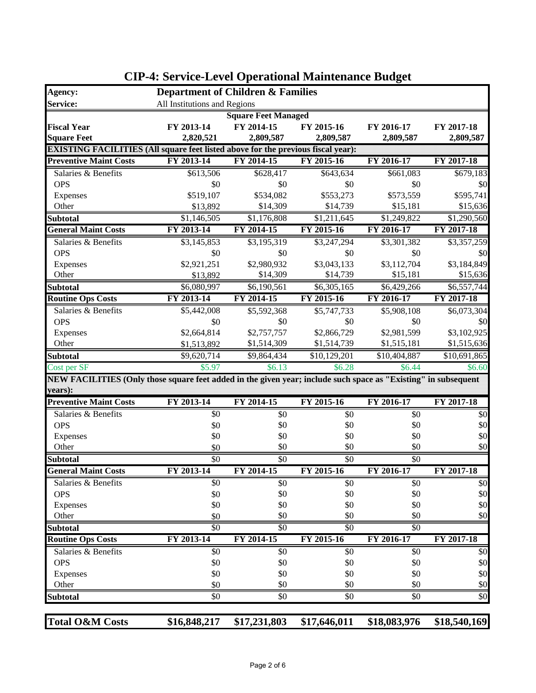| Agency:                                                                                                        | <b>Department of Children &amp; Families</b> |                            |                 |                 |                 |
|----------------------------------------------------------------------------------------------------------------|----------------------------------------------|----------------------------|-----------------|-----------------|-----------------|
| Service:                                                                                                       | All Institutions and Regions                 |                            |                 |                 |                 |
|                                                                                                                |                                              | <b>Square Feet Managed</b> |                 |                 |                 |
| <b>Fiscal Year</b>                                                                                             | FY 2013-14                                   | FY 2014-15                 | FY 2015-16      | FY 2016-17      | FY 2017-18      |
| <b>Square Feet</b>                                                                                             | 2,820,521                                    | 2,809,587                  | 2,809,587       | 2,809,587       | 2,809,587       |
| <b>EXISTING FACILITIES (All square feet listed above for the previous fiscal year):</b>                        |                                              |                            |                 |                 |                 |
| <b>Preventive Maint Costs</b>                                                                                  | FY 2013-14                                   | FY 2014-15                 | FY 2015-16      | FY 2016-17      | FY 2017-18      |
| Salaries & Benefits                                                                                            | \$613,506                                    | \$628,417                  | \$643,634       | \$661,083       | \$679,183       |
| <b>OPS</b>                                                                                                     | \$0                                          | \$0                        | \$0             | \$0             | \$0             |
| Expenses                                                                                                       | \$519,107                                    | \$534,082                  | \$553,273       | \$573,559       | \$595,741       |
| Other                                                                                                          | \$13,892                                     | \$14,309                   | \$14,739        | \$15,181        | \$15,636        |
| <b>Subtotal</b>                                                                                                | \$1,146,505                                  | \$1,176,808                | \$1,211,645     | \$1,249,822     | \$1,290,560     |
| <b>General Maint Costs</b>                                                                                     | FY 2013-14                                   | FY 2014-15                 | FY 2015-16      | FY 2016-17      | FY 2017-18      |
| Salaries & Benefits                                                                                            | \$3,145,853                                  | \$3,195,319                | \$3,247,294     | \$3,301,382     | \$3,357,259     |
| <b>OPS</b>                                                                                                     | \$0                                          | \$0                        | \$0             | \$0             | \$0             |
| Expenses                                                                                                       | \$2,921,251                                  | \$2,980,932                | \$3,043,133     | \$3,112,704     | \$3,184,849     |
| Other                                                                                                          | \$13,892                                     | \$14,309                   | \$14,739        | \$15,181        | \$15,636        |
| <b>Subtotal</b>                                                                                                | \$6,080,997                                  | \$6,190,561                | \$6,305,165     | \$6,429,266     | \$6,557,744     |
| <b>Routine Ops Costs</b>                                                                                       | FY 2013-14                                   | FY 2014-15                 | FY 2015-16      | FY 2016-17      | FY 2017-18      |
| Salaries & Benefits                                                                                            | \$5,442,008                                  | $\overline{$5,592,368}$    | \$5,747,733     | \$5,908,108     | \$6,073,304     |
| <b>OPS</b>                                                                                                     | \$0                                          | \$0                        | \$0             | \$0             | \$0             |
| Expenses                                                                                                       | \$2,664,814                                  | \$2,757,757                | \$2,866,729     | \$2,981,599     | \$3,102,925     |
| Other                                                                                                          | \$1,513,892                                  | \$1,514,309                | \$1,514,739     | \$1,515,181     | \$1,515,636     |
| <b>Subtotal</b>                                                                                                | \$9,620,714                                  | \$9,864,434                | \$10,129,201    | \$10,404,887    | \$10,691,865    |
| Cost per SF                                                                                                    | \$5.97                                       | \$6.13                     | \$6.28          | \$6.44          | \$6.60          |
| NEW FACILITIES (Only those square feet added in the given year; include such space as "Existing" in subsequent |                                              |                            |                 |                 |                 |
| years):                                                                                                        |                                              |                            |                 |                 |                 |
| <b>Preventive Maint Costs</b>                                                                                  | FY 2013-14                                   | FY 2014-15                 | FY 2015-16      | FY 2016-17      | FY 2017-18      |
| Salaries & Benefits                                                                                            | \$0                                          | \$0                        | \$0             | \$0             | \$0             |
| <b>OPS</b>                                                                                                     | \$0                                          | \$0                        | \$0             | \$0             | \$0             |
| Expenses                                                                                                       | \$0                                          | \$0                        | \$0             | \$0             | \$0             |
| Other                                                                                                          | \$0                                          | \$0                        | \$0             | \$0             | \$0             |
| <b>Subtotal</b>                                                                                                | $\overline{50}$                              | $\overline{50}$            | $\overline{50}$ | $\overline{50}$ |                 |
| <b>General Maint Costs</b>                                                                                     | FY 2013-14                                   | FY 2014-15                 | FY 2015-16      | FY 2016-17      | FY 2017-18      |
| Salaries & Benefits                                                                                            | $\sqrt{6}$                                   | $\sqrt{6}$                 | $\sqrt{6}$      | $\sqrt{6}$      | $\overline{50}$ |
| <b>OPS</b>                                                                                                     | \$0<br>\$0                                   | \$0<br>\$0                 | \$0<br>\$0      | \$0<br>\$0      | \$0<br>\$0      |
| Expenses<br>Other                                                                                              | \$0                                          | \$0                        | \$0             | \$0             | \$0             |
|                                                                                                                |                                              |                            | \$0             | \$0             |                 |
| <b>Subtotal</b><br><b>Routine Ops Costs</b>                                                                    | \$0<br>FY 2013-14                            | \$0<br>FY 2014-15          | FY 2015-16      | FY 2016-17      | FY 2017-18      |
| Salaries & Benefits                                                                                            | \$0                                          |                            |                 |                 |                 |
| <b>OPS</b>                                                                                                     | \$0                                          | \$0<br>\$0                 | \$0<br>\$0      | \$0<br>\$0      | \$0<br>\$0      |
|                                                                                                                | \$0                                          | \$0                        | \$0             | \$0             | \$0             |
| Expenses<br>Other                                                                                              | \$0                                          | \$0                        | \$0             | \$0             | \$0             |
| <b>Subtotal</b>                                                                                                | \$0                                          | \$0                        | \$0             | \$0             | \$0             |
|                                                                                                                |                                              |                            |                 |                 |                 |
|                                                                                                                |                                              |                            |                 |                 |                 |
| <b>Total O&amp;M Costs</b>                                                                                     | \$16,848,217                                 | \$17,231,803               | \$17,646,011    | \$18,083,976    | \$18,540,169    |

#### **CIP-4: Service-Level Operational Maintenance Budget**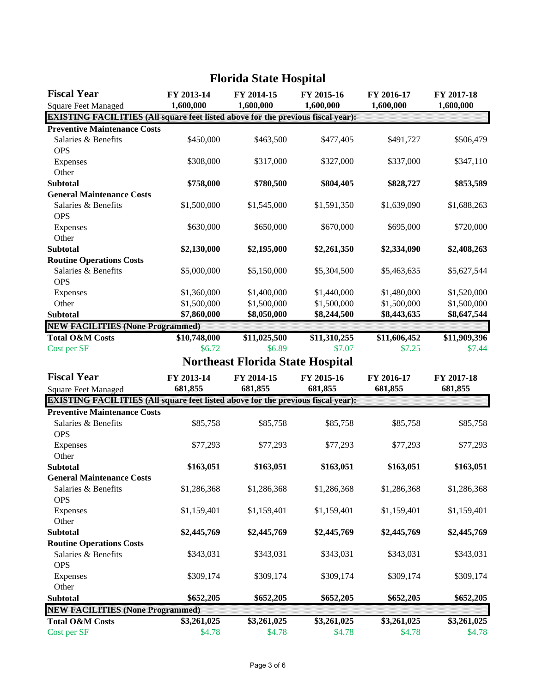| <b>Fiscal Year</b>                                                                      | FY 2013-14   | FY 2014-15                              | FY 2015-16   | FY 2016-17   | FY 2017-18   |
|-----------------------------------------------------------------------------------------|--------------|-----------------------------------------|--------------|--------------|--------------|
| <b>Square Feet Managed</b>                                                              | 1,600,000    | 1,600,000                               | 1,600,000    | 1,600,000    | 1,600,000    |
| <b>EXISTING FACILITIES (All square feet listed above for the previous fiscal year):</b> |              |                                         |              |              |              |
| <b>Preventive Maintenance Costs</b>                                                     |              |                                         |              |              |              |
| Salaries & Benefits<br><b>OPS</b>                                                       | \$450,000    | \$463,500                               | \$477,405    | \$491,727    | \$506,479    |
| Expenses                                                                                | \$308,000    | \$317,000                               | \$327,000    | \$337,000    | \$347,110    |
| Other                                                                                   |              |                                         |              |              |              |
| <b>Subtotal</b>                                                                         | \$758,000    | \$780,500                               | \$804,405    | \$828,727    | \$853,589    |
| <b>General Maintenance Costs</b>                                                        |              |                                         |              |              |              |
| Salaries & Benefits<br><b>OPS</b>                                                       | \$1,500,000  | \$1,545,000                             | \$1,591,350  | \$1,639,090  | \$1,688,263  |
| Expenses                                                                                | \$630,000    | \$650,000                               | \$670,000    | \$695,000    | \$720,000    |
| Other                                                                                   |              |                                         |              |              |              |
| <b>Subtotal</b>                                                                         | \$2,130,000  | \$2,195,000                             | \$2,261,350  | \$2,334,090  | \$2,408,263  |
| <b>Routine Operations Costs</b>                                                         |              |                                         |              |              |              |
| Salaries & Benefits                                                                     | \$5,000,000  | \$5,150,000                             | \$5,304,500  | \$5,463,635  | \$5,627,544  |
| <b>OPS</b>                                                                              |              |                                         |              |              |              |
| Expenses                                                                                | \$1,360,000  | \$1,400,000                             | \$1,440,000  | \$1,480,000  | \$1,520,000  |
| Other                                                                                   | \$1,500,000  | \$1,500,000                             | \$1,500,000  | \$1,500,000  | \$1,500,000  |
| <b>Subtotal</b>                                                                         | \$7,860,000  | \$8,050,000                             | \$8,244,500  | \$8,443,635  | \$8,647,544  |
| <b>NEW FACILITIES (None Programmed)</b>                                                 |              |                                         |              |              |              |
| <b>Total O&amp;M Costs</b>                                                              | \$10,748,000 | \$11,025,500                            | \$11,310,255 | \$11,606,452 | \$11,909,396 |
| Cost per SF                                                                             | \$6.72       | \$6.89                                  | \$7.07       | \$7.25       | \$7.44       |
|                                                                                         |              | <b>Northeast Florida State Hospital</b> |              |              |              |
| <b>Fiscal Year</b>                                                                      | FY 2013-14   | FY 2014-15                              | FY 2015-16   | FY 2016-17   | FY 2017-18   |
| <b>Square Feet Managed</b>                                                              | 681,855      | 681,855                                 | 681,855      | 681,855      | 681,855      |
| <b>EXISTING FACILITIES (All square feet listed above for the previous fiscal year):</b> |              |                                         |              |              |              |
| <b>Preventive Maintenance Costs</b>                                                     |              |                                         |              |              |              |
| Salaries & Benefits<br><b>OPS</b>                                                       | \$85,758     | \$85,758                                | \$85,758     | \$85,758     | \$85,758     |
| Expenses<br>Other                                                                       | \$77,293     | \$77,293                                | \$77,293     | \$77,293     | \$77,293     |
| <b>Subtotal</b>                                                                         | \$163,051    | \$163,051                               | \$163,051    | \$163,051    | \$163,051    |
| <b>General Maintenance Costs</b>                                                        |              |                                         |              |              |              |
| Salaries & Benefits<br><b>OPS</b>                                                       | \$1,286,368  | \$1,286,368                             | \$1,286,368  | \$1,286,368  | \$1,286,368  |
| Expenses<br>Other                                                                       | \$1,159,401  | \$1,159,401                             | \$1,159,401  | \$1,159,401  | \$1,159,401  |
| <b>Subtotal</b>                                                                         | \$2,445,769  | \$2,445,769                             | \$2,445,769  | \$2,445,769  | \$2,445,769  |
| <b>Routine Operations Costs</b>                                                         |              |                                         |              |              |              |
| Salaries & Benefits                                                                     | \$343,031    | \$343,031                               | \$343,031    | \$343,031    | \$343,031    |
| <b>OPS</b>                                                                              |              |                                         |              |              |              |
| Expenses                                                                                | \$309,174    | \$309,174                               | \$309,174    | \$309,174    | \$309,174    |
| Other                                                                                   |              |                                         |              |              |              |
| <b>Subtotal</b>                                                                         | \$652,205    | \$652,205                               | \$652,205    | \$652,205    | \$652,205    |
| <b>NEW FACILITIES (None Programmed)</b>                                                 |              |                                         |              |              |              |
| <b>Total O&amp;M Costs</b>                                                              | \$3,261,025  | \$3,261,025                             | \$3,261,025  | \$3,261,025  | \$3,261,025  |
| Cost per SF                                                                             | \$4.78       | \$4.78                                  | \$4.78       | \$4.78       | \$4.78       |

# **Florida State Hospital**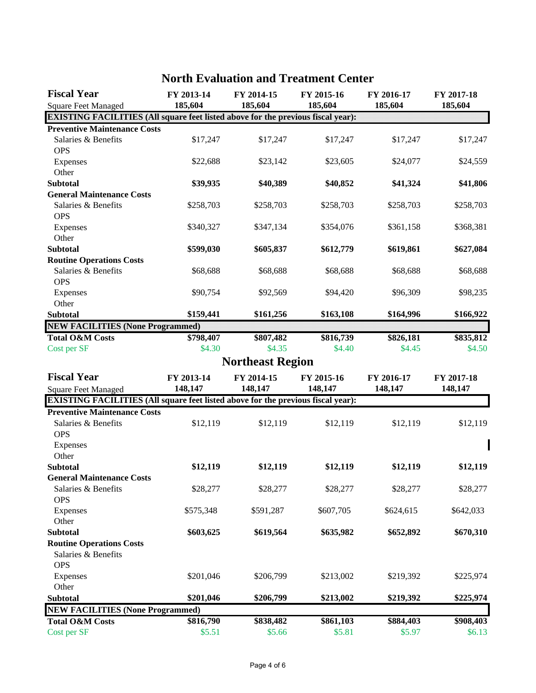| <b>Fiscal Year</b>                                                                      | FY 2013-14          | FY 2014-15              | FY 2015-16 | FY 2016-17 | FY 2017-18 |
|-----------------------------------------------------------------------------------------|---------------------|-------------------------|------------|------------|------------|
| <b>Square Feet Managed</b>                                                              | 185,604             | 185,604                 | 185,604    | 185,604    | 185,604    |
| <b>EXISTING FACILITIES (All square feet listed above for the previous fiscal year):</b> |                     |                         |            |            |            |
| <b>Preventive Maintenance Costs</b>                                                     |                     |                         |            |            |            |
| Salaries & Benefits                                                                     | \$17,247            | \$17,247                | \$17,247   | \$17,247   | \$17,247   |
| <b>OPS</b>                                                                              |                     |                         |            |            |            |
| Expenses                                                                                | \$22,688            | \$23,142                | \$23,605   | \$24,077   | \$24,559   |
| Other                                                                                   |                     |                         |            |            |            |
| <b>Subtotal</b>                                                                         | \$39,935            | \$40,389                | \$40,852   | \$41,324   | \$41,806   |
| <b>General Maintenance Costs</b>                                                        |                     | \$258,703               |            |            |            |
| Salaries & Benefits<br><b>OPS</b>                                                       | \$258,703           |                         | \$258,703  | \$258,703  | \$258,703  |
|                                                                                         | \$340,327           | \$347,134               | \$354,076  | \$361,158  | \$368,381  |
| Expenses<br>Other                                                                       |                     |                         |            |            |            |
| <b>Subtotal</b>                                                                         | \$599,030           | \$605,837               | \$612,779  | \$619,861  | \$627,084  |
| <b>Routine Operations Costs</b>                                                         |                     |                         |            |            |            |
| Salaries & Benefits                                                                     | \$68,688            | \$68,688                | \$68,688   | \$68,688   | \$68,688   |
| <b>OPS</b>                                                                              |                     |                         |            |            |            |
| Expenses                                                                                | \$90,754            | \$92,569                | \$94,420   | \$96,309   | \$98,235   |
| Other                                                                                   |                     |                         |            |            |            |
| <b>Subtotal</b>                                                                         | \$159,441           | \$161,256               | \$163,108  | \$164,996  | \$166,922  |
| <b>NEW FACILITIES (None Programmed)</b>                                                 |                     |                         |            |            |            |
| <b>Total O&amp;M Costs</b>                                                              | \$798,407           | \$807,482               | \$816,739  | \$826,181  | \$835,812  |
| Cost per SF                                                                             | \$4.30              | \$4.35                  | \$4.40     | \$4.45     | \$4.50     |
|                                                                                         |                     | <b>Northeast Region</b> |            |            |            |
| <b>Fiscal Year</b>                                                                      | FY 2013-14          | FY 2014-15              | FY 2015-16 | FY 2016-17 | FY 2017-18 |
| <b>Square Feet Managed</b>                                                              | 148,147             | 148,147                 | 148,147    | 148,147    | 148,147    |
| <b>EXISTING FACILITIES (All square feet listed above for the previous fiscal year):</b> |                     |                         |            |            |            |
| <b>Preventive Maintenance Costs</b>                                                     |                     |                         |            |            |            |
| Salaries & Benefits                                                                     | \$12,119            | \$12,119                | \$12,119   | \$12,119   | \$12,119   |
| <b>OPS</b>                                                                              |                     |                         |            |            |            |
| Expenses                                                                                |                     |                         |            |            |            |
| Other                                                                                   |                     |                         |            |            |            |
| <b>Subtotal</b>                                                                         | \$12,119            | \$12,119                | \$12,119   | \$12,119   | \$12,119   |
| <b>General Maintenance Costs</b>                                                        |                     |                         |            |            |            |
| Salaries & Benefits                                                                     | \$28,277            | \$28,277                | \$28,277   | \$28,277   | \$28,277   |
| <b>OPS</b>                                                                              |                     |                         |            |            |            |
| Expenses                                                                                | \$575,348           | \$591,287               | \$607,705  | \$624,615  | \$642,033  |
| Other                                                                                   |                     |                         |            |            |            |
| <b>Subtotal</b>                                                                         | \$603,625           | \$619,564               | \$635,982  | \$652,892  | \$670,310  |
| <b>Routine Operations Costs</b>                                                         |                     |                         |            |            |            |
| Salaries & Benefits                                                                     |                     |                         |            |            |            |
| <b>OPS</b>                                                                              |                     |                         |            |            |            |
| Expenses                                                                                | \$201,046           | \$206,799               | \$213,002  | \$219,392  | \$225,974  |
| Other                                                                                   |                     |                         |            |            |            |
| <b>Subtotal</b>                                                                         | \$201,046           | \$206,799               | \$213,002  | \$219,392  | \$225,974  |
| <b>NEW FACILITIES (None Programmed)</b>                                                 |                     |                         |            |            |            |
| <b>Total O&amp;M Costs</b><br>Cost per SF                                               | \$816,790<br>\$5.51 | \$838,482               | \$861,103  | \$884,403  | \$908,403  |
|                                                                                         |                     | \$5.66                  | \$5.81     | \$5.97     | \$6.13     |

#### **North Evaluation and Treatment Center**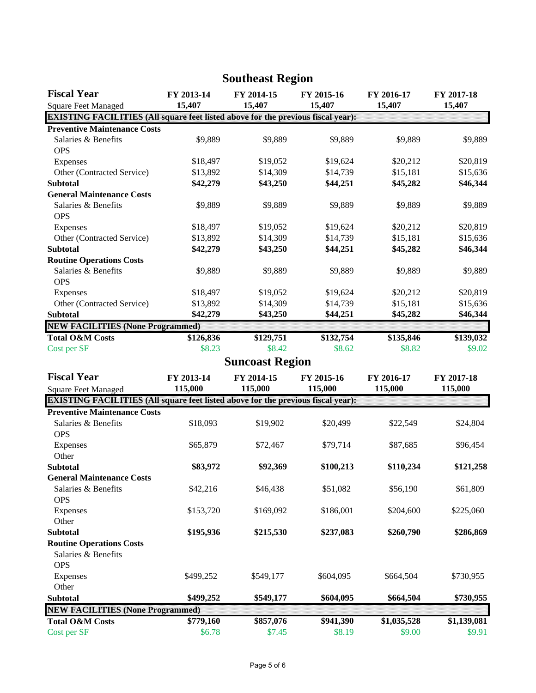| <b>Fiscal Year</b>                                                                      | FY 2013-14 | FY 2014-15             | FY 2015-16 | FY 2016-17  | FY 2017-18  |
|-----------------------------------------------------------------------------------------|------------|------------------------|------------|-------------|-------------|
| <b>Square Feet Managed</b>                                                              | 15,407     | 15,407                 | 15,407     | 15,407      | 15,407      |
| <b>EXISTING FACILITIES (All square feet listed above for the previous fiscal year):</b> |            |                        |            |             |             |
| <b>Preventive Maintenance Costs</b>                                                     |            |                        |            |             |             |
| Salaries & Benefits                                                                     | \$9,889    | \$9,889                | \$9,889    | \$9,889     | \$9,889     |
| <b>OPS</b>                                                                              |            |                        |            |             |             |
| Expenses                                                                                | \$18,497   | \$19,052               | \$19,624   | \$20,212    | \$20,819    |
| Other (Contracted Service)                                                              | \$13,892   | \$14,309               | \$14,739   | \$15,181    | \$15,636    |
| <b>Subtotal</b>                                                                         | \$42,279   | \$43,250               | \$44,251   | \$45,282    | \$46,344    |
| <b>General Maintenance Costs</b>                                                        |            |                        |            |             |             |
| Salaries & Benefits<br><b>OPS</b>                                                       | \$9,889    | \$9,889                | \$9,889    | \$9,889     | \$9,889     |
| Expenses                                                                                | \$18,497   | \$19,052               | \$19,624   | \$20,212    | \$20,819    |
| Other (Contracted Service)                                                              | \$13,892   | \$14,309               | \$14,739   | \$15,181    | \$15,636    |
| <b>Subtotal</b>                                                                         | \$42,279   | \$43,250               | \$44,251   | \$45,282    | \$46,344    |
| <b>Routine Operations Costs</b>                                                         |            |                        |            |             |             |
| Salaries & Benefits                                                                     | \$9,889    | \$9,889                | \$9,889    | \$9,889     | \$9,889     |
| <b>OPS</b>                                                                              |            |                        |            |             |             |
| Expenses                                                                                | \$18,497   | \$19,052               | \$19,624   | \$20,212    | \$20,819    |
| Other (Contracted Service)                                                              | \$13,892   | \$14,309               | \$14,739   | \$15,181    | \$15,636    |
| <b>Subtotal</b>                                                                         | \$42,279   | \$43,250               | \$44,251   | \$45,282    | \$46,344    |
| <b>NEW FACILITIES (None Programmed)</b>                                                 |            |                        |            |             |             |
| <b>Total O&amp;M Costs</b>                                                              | \$126,836  | \$129,751              | \$132,754  | \$135,846   | \$139,032   |
| Cost per SF                                                                             | \$8.23     | \$8.42                 | \$8.62     | \$8.82      | \$9.02      |
|                                                                                         |            | <b>Suncoast Region</b> |            |             |             |
| <b>Fiscal Year</b>                                                                      | FY 2013-14 | FY 2014-15             | FY 2015-16 | FY 2016-17  | FY 2017-18  |
| <b>Square Feet Managed</b>                                                              | 115,000    | 115,000                | 115,000    | 115,000     | 115,000     |
| <b>EXISTING FACILITIES (All square feet listed above for the previous fiscal year):</b> |            |                        |            |             |             |
| <b>Preventive Maintenance Costs</b>                                                     |            |                        |            |             |             |
| Salaries & Benefits                                                                     | \$18,093   | \$19,902               | \$20,499   | \$22,549    | \$24,804    |
| <b>OPS</b>                                                                              |            |                        |            |             |             |
| Expenses                                                                                | \$65,879   | \$72,467               | \$79,714   | \$87,685    | \$96,454    |
| Other                                                                                   |            |                        |            |             |             |
| <b>Subtotal</b>                                                                         | \$83,972   | \$92,369               | \$100,213  | \$110,234   | \$121,258   |
| <b>General Maintenance Costs</b>                                                        |            |                        |            |             |             |
| Salaries & Benefits                                                                     | \$42,216   | \$46,438               | \$51,082   | \$56,190    | \$61,809    |
| <b>OPS</b>                                                                              |            |                        |            |             |             |
| Expenses                                                                                | \$153,720  | \$169,092              | \$186,001  | \$204,600   | \$225,060   |
| Other                                                                                   |            |                        |            |             |             |
| <b>Subtotal</b>                                                                         | \$195,936  | \$215,530              | \$237,083  | \$260,790   | \$286,869   |
| <b>Routine Operations Costs</b>                                                         |            |                        |            |             |             |
| Salaries & Benefits                                                                     |            |                        |            |             |             |
| <b>OPS</b>                                                                              |            |                        |            |             |             |
| Expenses                                                                                | \$499,252  | \$549,177              | \$604,095  | \$664,504   | \$730,955   |
| Other                                                                                   |            |                        |            |             |             |
| Subtotal                                                                                | \$499,252  | \$549,177              | \$604,095  | \$664,504   | \$730,955   |
| <b>NEW FACILITIES (None Programmed)</b>                                                 |            |                        |            |             |             |
| <b>Total O&amp;M Costs</b>                                                              | \$779,160  | \$857,076              | \$941,390  | \$1,035,528 | \$1,139,081 |
| Cost per SF                                                                             | \$6.78     | \$7.45                 | \$8.19     | \$9.00      | \$9.91      |

# **Southeast Region**